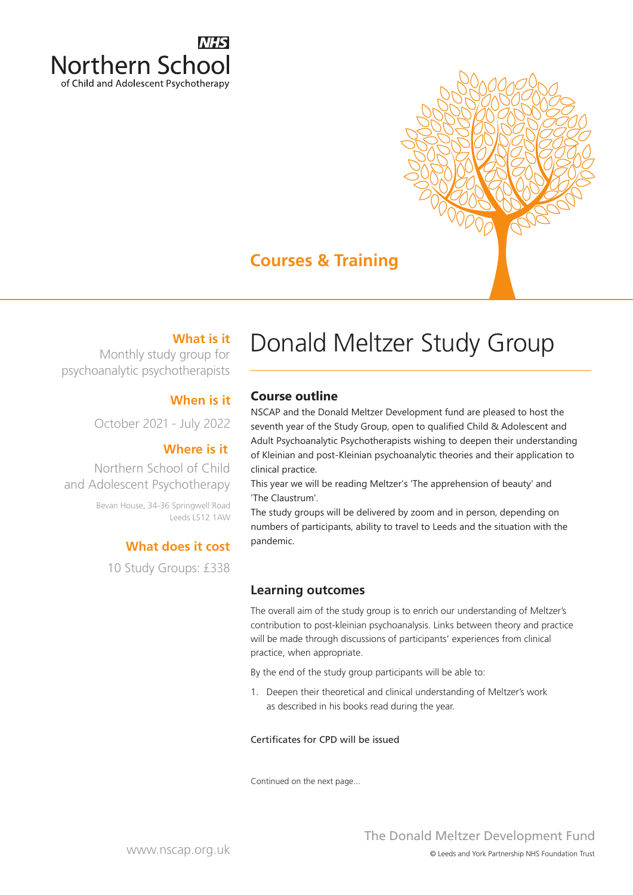

## **Courses & Training**

### **What is it**

Monthly study group for psychoanalytic psychotherapists

#### **When is it**

October 2021 ‐ July 2022

#### **Where is it**

Northern School of Child and Adolescent Psychotherapy

> Bevan House, 34-36 Springwell Road Leeds LS12 1AW

#### **What does it cost**

10 Study Groups: £338

# Donald Meltzer Study Group

#### **Course outline**

NSCAP and the Donald Meltzer Development fund are pleased to host the seventh year of the Study Group, open to qualified Child & Adolescent and Adult Psychoanalytic Psychotherapists wishing to deepen their understanding of Kleinian and post‐Kleinian psychoanalytic theories and their application to clinical practice.

This year we will be reading Meltzer's 'The apprehension of beauty' and 'The Claustrum'.

The study groups will be delivered by zoom and in person, depending on numbers of participants, ability to travel to Leeds and the situation with the pandemic.

#### **Learning outcomes**

The overall aim of the study group is to enrich our understanding of Meltzer's contribution to post-kleinian psychoanalysis. Links between theory and practice will be made through discussions of participants' experiences from clinical practice, when appropriate.

By the end of the study group participants will be able to:

1. Deepen their theoretical and clinical understanding of Meltzer's work as described in his books read during the year.

#### Certificates for CPD will be issued

Continued on the next page...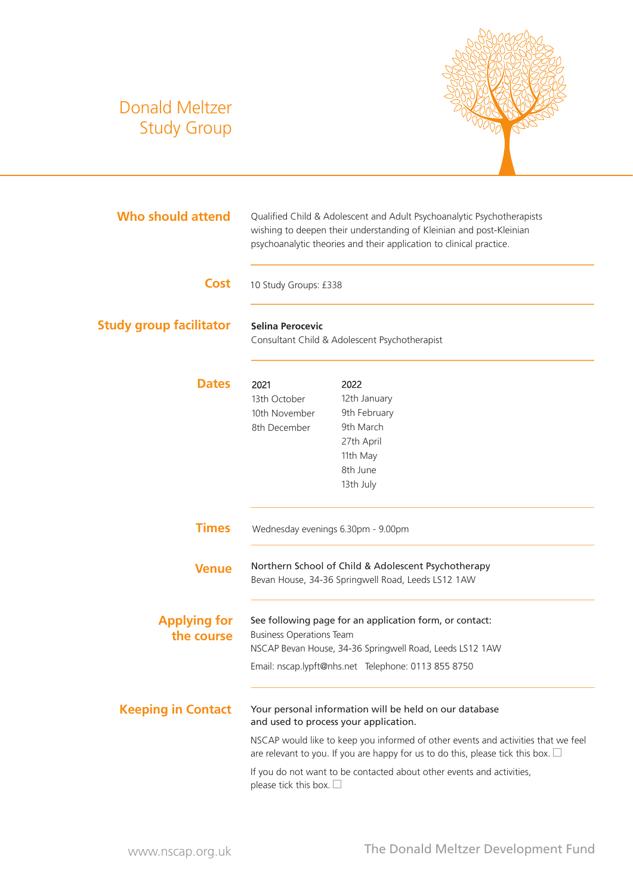## Donald Meltzer Study Group



| <b>Who should attend</b>          | Qualified Child & Adolescent and Adult Psychoanalytic Psychotherapists<br>wishing to deepen their understanding of Kleinian and post-Kleinian<br>psychoanalytic theories and their application to clinical practice. |                                                                                                           |  |  |
|-----------------------------------|----------------------------------------------------------------------------------------------------------------------------------------------------------------------------------------------------------------------|-----------------------------------------------------------------------------------------------------------|--|--|
| <b>Cost</b>                       | 10 Study Groups: £338                                                                                                                                                                                                |                                                                                                           |  |  |
| <b>Study group facilitator</b>    | <b>Selina Perocevic</b><br>Consultant Child & Adolescent Psychotherapist                                                                                                                                             |                                                                                                           |  |  |
| <b>Dates</b>                      | 2021<br>13th October<br>10th November<br>8th December                                                                                                                                                                | 2022<br>12th January<br>9th February<br>9th March<br>27th April<br>11th May<br>8th June<br>13th July      |  |  |
| <b>Times</b>                      | Wednesday evenings 6.30pm - 9.00pm                                                                                                                                                                                   |                                                                                                           |  |  |
| <b>Venue</b>                      |                                                                                                                                                                                                                      | Northern School of Child & Adolescent Psychotherapy<br>Bevan House, 34-36 Springwell Road, Leeds LS12 1AW |  |  |
| <b>Applying for</b><br>the course | See following page for an application form, or contact:<br><b>Business Operations Team</b><br>NSCAP Bevan House, 34-36 Springwell Road, Leeds LS12 1AW<br>Email: nscap.lypft@nhs.net Telephone: 0113 855 8750        |                                                                                                           |  |  |
| <b>Keeping in Contact</b>         | Your personal information will be held on our database<br>and used to process your application.                                                                                                                      |                                                                                                           |  |  |
|                                   | NSCAP would like to keep you informed of other events and activities that we feel<br>are relevant to you. If you are happy for us to do this, please tick this box. $\square$                                        |                                                                                                           |  |  |
|                                   | please tick this box. $\square$                                                                                                                                                                                      | If you do not want to be contacted about other events and activities,                                     |  |  |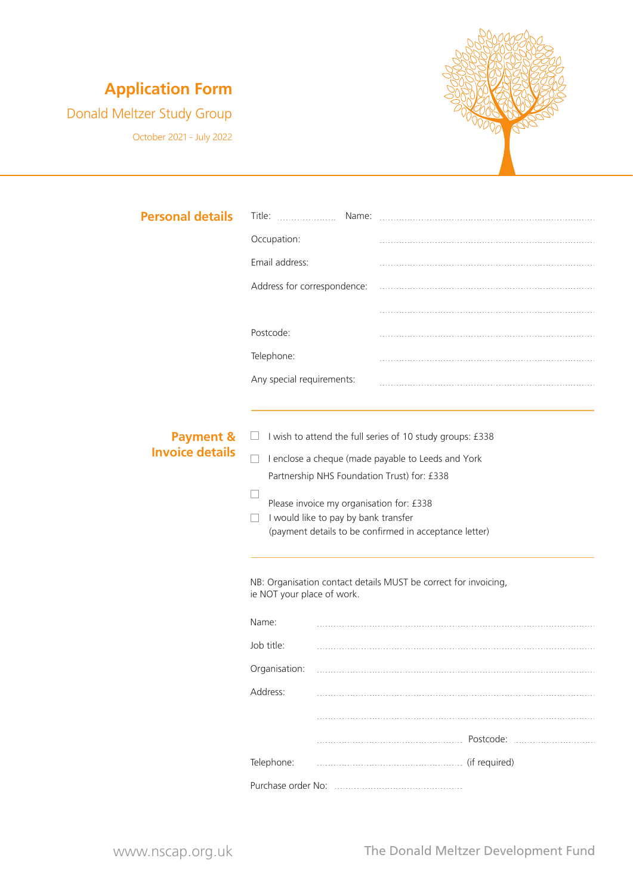### **Application Form**

Donald Meltzer Study Group

October 2021 ‐ July 2022



| <b>Personal details</b> | Title:                                                                                         | Name: |  |  |
|-------------------------|------------------------------------------------------------------------------------------------|-------|--|--|
|                         | Occupation:                                                                                    |       |  |  |
|                         | Email address:                                                                                 |       |  |  |
|                         | Address for correspondence:                                                                    |       |  |  |
|                         |                                                                                                |       |  |  |
|                         | Postcode:                                                                                      |       |  |  |
|                         | Telephone:                                                                                     |       |  |  |
|                         | Any special requirements:                                                                      |       |  |  |
|                         |                                                                                                |       |  |  |
| <b>Payment &amp;</b>    | I wish to attend the full series of 10 study groups: £338<br>⊔                                 |       |  |  |
| <b>Invoice details</b>  | I enclose a cheque (made payable to Leeds and York                                             |       |  |  |
|                         | Partnership NHS Foundation Trust) for: £338                                                    |       |  |  |
|                         | Please invoice my organisation for: £338                                                       |       |  |  |
|                         | I would like to pay by bank transfer<br>(payment details to be confirmed in acceptance letter) |       |  |  |
|                         |                                                                                                |       |  |  |
|                         | NB: Organisation contact details MUST be correct for invoicing,<br>ie NOT your place of work.  |       |  |  |
|                         | Name:                                                                                          |       |  |  |
|                         | Job title:                                                                                     |       |  |  |
|                         | Organisation:                                                                                  |       |  |  |
|                         | Address:                                                                                       |       |  |  |
|                         |                                                                                                |       |  |  |
|                         |                                                                                                |       |  |  |
|                         | Telephone:                                                                                     |       |  |  |
|                         |                                                                                                |       |  |  |